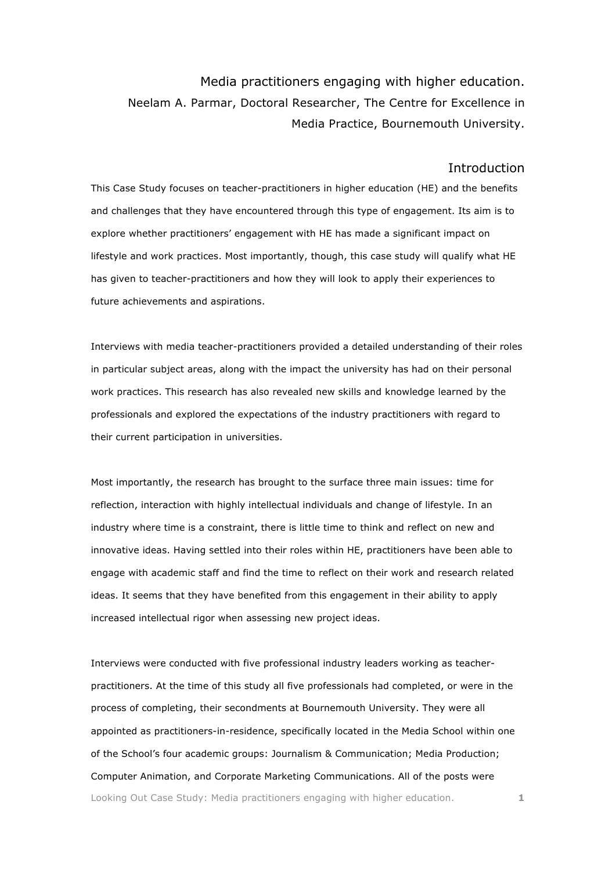Media practitioners engaging with higher education. Neelam A. Parmar, Doctoral Researcher, The Centre for Excellence in Media Practice, Bournemouth University.

### **Introduction**

This Case Study focuses on teacher-practitioners in higher education (HE) and the benefits and challenges that they have encountered through this type of engagement. Its aim is to explore whether practitioners' engagement with HE has made a significant impact on lifestyle and work practices. Most importantly, though, this case study will qualify what HE has given to teacher-practitioners and how they will look to apply their experiences to future achievements and aspirations.

Interviews with media teacher-practitioners provided a detailed understanding of their roles in particular subject areas, along with the impact the university has had on their personal work practices. This research has also revealed new skills and knowledge learned by the professionals and explored the expectations of the industry practitioners with regard to their current participation in universities.

Most importantly, the research has brought to the surface three main issues: time for reflection, interaction with highly intellectual individuals and change of lifestyle. In an industry where time is a constraint, there is little time to think and reflect on new and innovative ideas. Having settled into their roles within HE, practitioners have been able to engage with academic staff and find the time to reflect on their work and research related ideas. It seems that they have benefited from this engagement in their ability to apply increased intellectual rigor when assessing new project ideas.

Looking Out Case Study: Media practitioners engaging with higher education. **1** Interviews were conducted with five professional industry leaders working as teacherpractitioners. At the time of this study all five professionals had completed, or were in the process of completing, their secondments at Bournemouth University. They were all appointed as practitioners-in-residence, specifically located in the Media School within one of the School's four academic groups: Journalism & Communication; Media Production; Computer Animation, and Corporate Marketing Communications. All of the posts were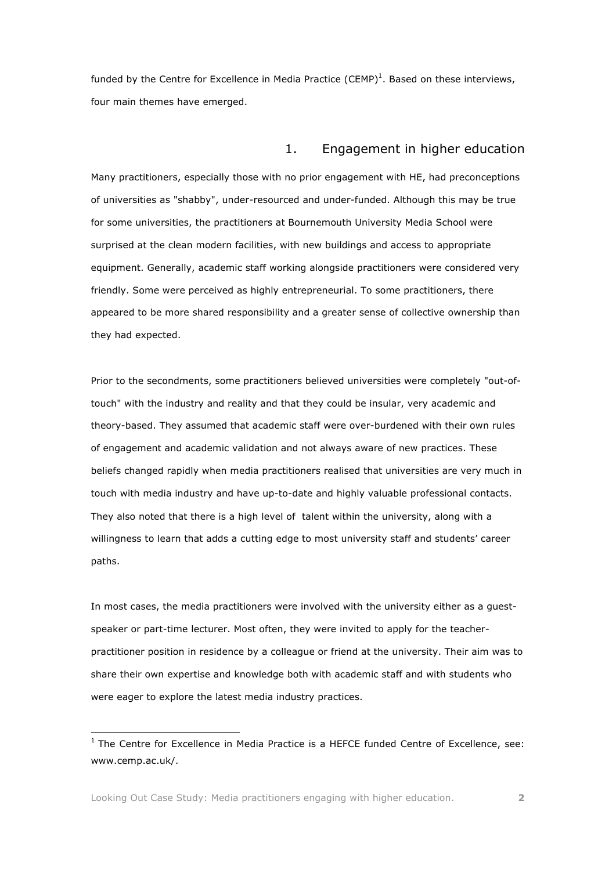funded by the Centre for Excellence in Media Practice (CEMP)<sup>1</sup>. Based on these interviews, four main themes have emerged.

## 1. Engagement in higher education

Many practitioners, especially those with no prior engagement with HE, had preconceptions of universities as "shabby", under-resourced and under-funded. Although this may be true for some universities, the practitioners at Bournemouth University Media School were surprised at the clean modern facilities, with new buildings and access to appropriate equipment. Generally, academic staff working alongside practitioners were considered very friendly. Some were perceived as highly entrepreneurial. To some practitioners, there appeared to be more shared responsibility and a greater sense of collective ownership than they had expected.

Prior to the secondments, some practitioners believed universities were completely "out-oftouch" with the industry and reality and that they could be insular, very academic and theory-based. They assumed that academic staff were over-burdened with their own rules of engagement and academic validation and not always aware of new practices. These beliefs changed rapidly when media practitioners realised that universities are very much in touch with media industry and have up-to-date and highly valuable professional contacts. They also noted that there is a high level of talent within the university, along with a willingness to learn that adds a cutting edge to most university staff and students' career paths.

In most cases, the media practitioners were involved with the university either as a guestspeaker or part-time lecturer. Most often, they were invited to apply for the teacherpractitioner position in residence by a colleague or friend at the university. Their aim was to share their own expertise and knowledge both with academic staff and with students who were eager to explore the latest media industry practices.

 $<sup>1</sup>$  The Centre for Excellence in Media Practice is a HEFCE funded Centre of Excellence, see:</sup> www.cemp.ac.uk/.

Looking Out Case Study: Media practitioners engaging with higher education. **2**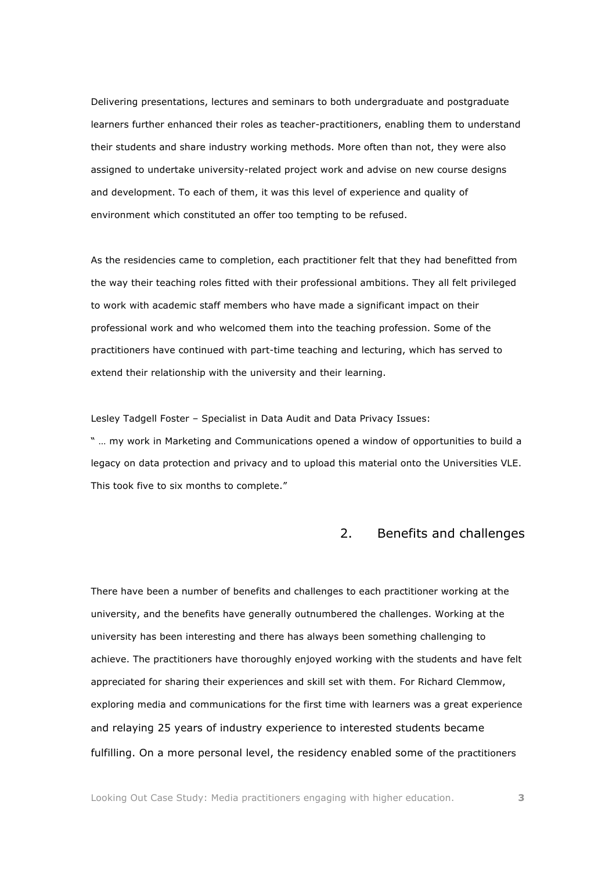Delivering presentations, lectures and seminars to both undergraduate and postgraduate learners further enhanced their roles as teacher-practitioners, enabling them to understand their students and share industry working methods. More often than not, they were also assigned to undertake university-related project work and advise on new course designs and development. To each of them, it was this level of experience and quality of environment which constituted an offer too tempting to be refused.

As the residencies came to completion, each practitioner felt that they had benefitted from the way their teaching roles fitted with their professional ambitions. They all felt privileged to work with academic staff members who have made a significant impact on their professional work and who welcomed them into the teaching profession. Some of the practitioners have continued with part-time teaching and lecturing, which has served to extend their relationship with the university and their learning.

Lesley Tadgell Foster – Specialist in Data Audit and Data Privacy Issues:

" … my work in Marketing and Communications opened a window of opportunities to build a legacy on data protection and privacy and to upload this material onto the Universities VLE. This took five to six months to complete."

# 2. Benefits and challenges

There have been a number of benefits and challenges to each practitioner working at the university, and the benefits have generally outnumbered the challenges. Working at the university has been interesting and there has always been something challenging to achieve. The practitioners have thoroughly enjoyed working with the students and have felt appreciated for sharing their experiences and skill set with them. For Richard Clemmow, exploring media and communications for the first time with learners was a great experience and relaying 25 years of industry experience to interested students became fulfilling. On a more personal level, the residency enabled some of the practitioners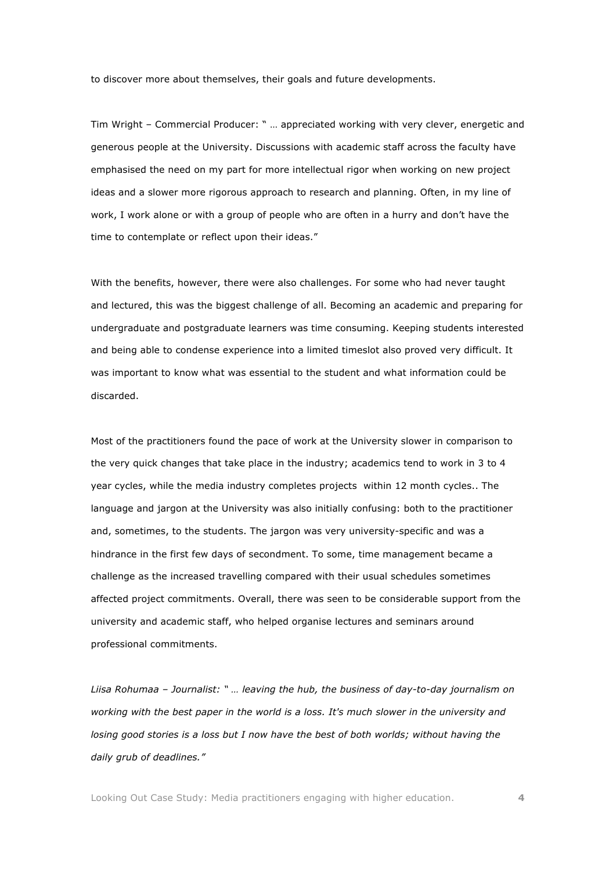to discover more about themselves, their goals and future developments.

Tim Wright – Commercial Producer: " … appreciated working with very clever, energetic and generous people at the University. Discussions with academic staff across the faculty have emphasised the need on my part for more intellectual rigor when working on new project ideas and a slower more rigorous approach to research and planning. Often, in my line of work, I work alone or with a group of people who are often in a hurry and don't have the time to contemplate or reflect upon their ideas."

With the benefits, however, there were also challenges. For some who had never taught and lectured, this was the biggest challenge of all. Becoming an academic and preparing for undergraduate and postgraduate learners was time consuming. Keeping students interested and being able to condense experience into a limited timeslot also proved very difficult. It was important to know what was essential to the student and what information could be discarded.

Most of the practitioners found the pace of work at the University slower in comparison to the very quick changes that take place in the industry; academics tend to work in 3 to 4 year cycles, while the media industry completes projects within 12 month cycles.. The language and jargon at the University was also initially confusing: both to the practitioner and, sometimes, to the students. The jargon was very university-specific and was a hindrance in the first few days of secondment. To some, time management became a challenge as the increased travelling compared with their usual schedules sometimes affected project commitments. Overall, there was seen to be considerable support from the university and academic staff, who helped organise lectures and seminars around professional commitments.

*Liisa Rohumaa – Journalist: " … leaving the hub, the business of day-to-day journalism on working with the best paper in the world is a loss. It's much slower in the university and losing good stories is a loss but I now have the best of both worlds; without having the daily grub of deadlines."*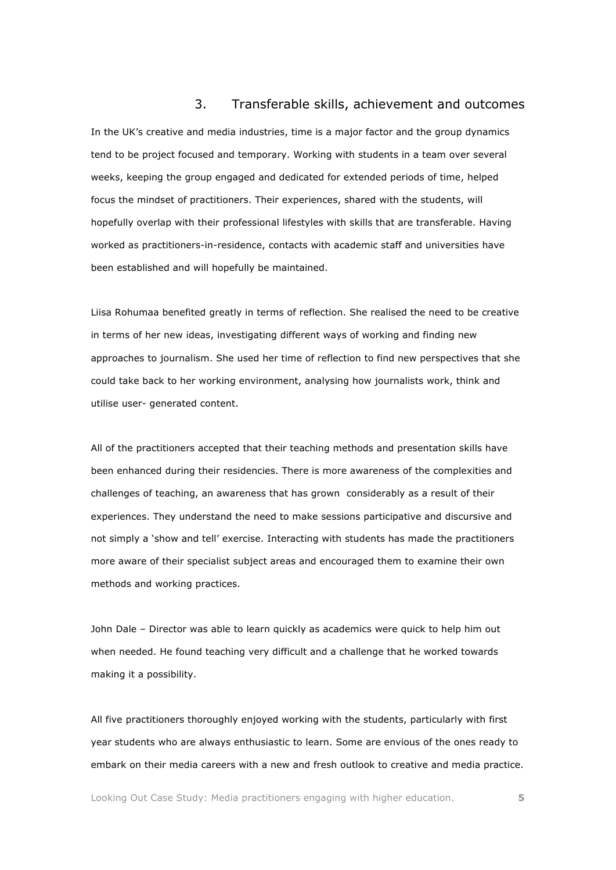### 3. Transferable skills, achievement and outcomes

In the UK's creative and media industries, time is a major factor and the group dynamics tend to be project focused and temporary. Working with students in a team over several weeks, keeping the group engaged and dedicated for extended periods of time, helped focus the mindset of practitioners. Their experiences, shared with the students, will hopefully overlap with their professional lifestyles with skills that are transferable. Having worked as practitioners-in-residence, contacts with academic staff and universities have been established and will hopefully be maintained.

Liisa Rohumaa benefited greatly in terms of reflection. She realised the need to be creative in terms of her new ideas, investigating different ways of working and finding new approaches to journalism. She used her time of reflection to find new perspectives that she could take back to her working environment, analysing how journalists work, think and utilise user- generated content.

All of the practitioners accepted that their teaching methods and presentation skills have been enhanced during their residencies. There is more awareness of the complexities and challenges of teaching, an awareness that has grown considerably as a result of their experiences. They understand the need to make sessions participative and discursive and not simply a 'show and tell' exercise. Interacting with students has made the practitioners more aware of their specialist subject areas and encouraged them to examine their own methods and working practices.

John Dale – Director was able to learn quickly as academics were quick to help him out when needed. He found teaching very difficult and a challenge that he worked towards making it a possibility.

All five practitioners thoroughly enjoyed working with the students, particularly with first year students who are always enthusiastic to learn. Some are envious of the ones ready to embark on their media careers with a new and fresh outlook to creative and media practice.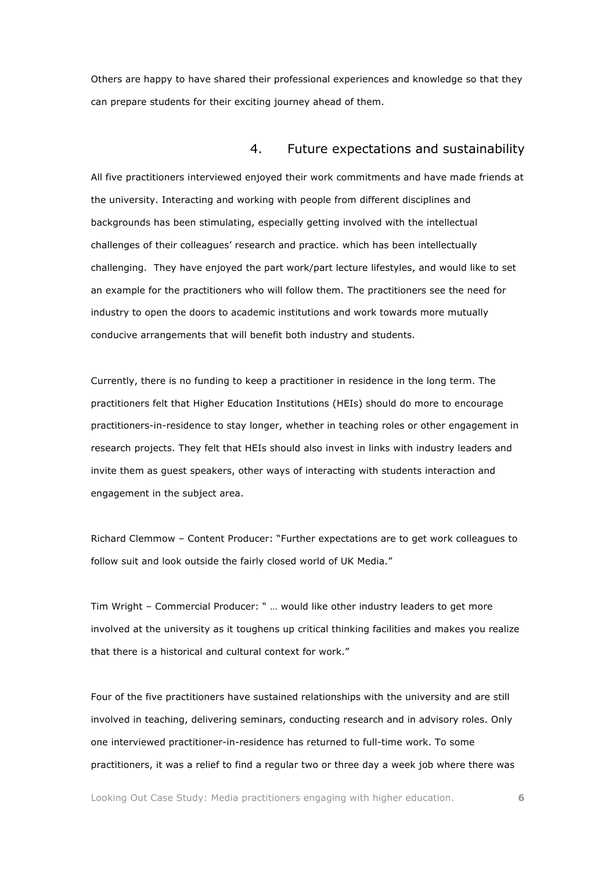Others are happy to have shared their professional experiences and knowledge so that they can prepare students for their exciting journey ahead of them.

### 4. Future expectations and sustainability

All five practitioners interviewed enjoyed their work commitments and have made friends at the university. Interacting and working with people from different disciplines and backgrounds has been stimulating, especially getting involved with the intellectual challenges of their colleagues' research and practice. which has been intellectually challenging. They have enjoyed the part work/part lecture lifestyles, and would like to set an example for the practitioners who will follow them. The practitioners see the need for industry to open the doors to academic institutions and work towards more mutually conducive arrangements that will benefit both industry and students.

Currently, there is no funding to keep a practitioner in residence in the long term. The practitioners felt that Higher Education Institutions (HEIs) should do more to encourage practitioners-in-residence to stay longer, whether in teaching roles or other engagement in research projects. They felt that HEIs should also invest in links with industry leaders and invite them as guest speakers, other ways of interacting with students interaction and engagement in the subject area.

Richard Clemmow – Content Producer: "Further expectations are to get work colleagues to follow suit and look outside the fairly closed world of UK Media."

Tim Wright – Commercial Producer: " … would like other industry leaders to get more involved at the university as it toughens up critical thinking facilities and makes you realize that there is a historical and cultural context for work."

Four of the five practitioners have sustained relationships with the university and are still involved in teaching, delivering seminars, conducting research and in advisory roles. Only one interviewed practitioner-in-residence has returned to full-time work. To some practitioners, it was a relief to find a regular two or three day a week job where there was